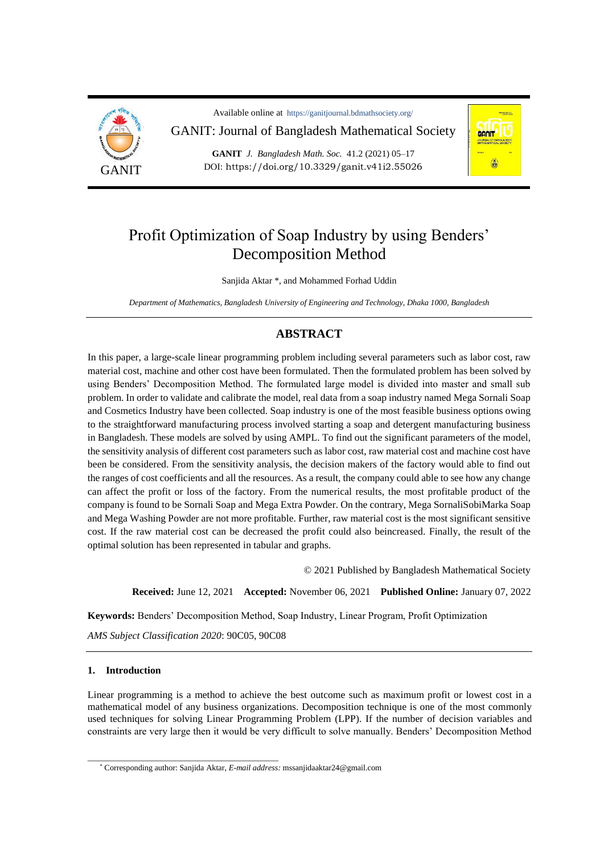

Available online at https://ganitjournal.bdmathsociety.org/ GANIT: Journal of Bangladesh Mathematical Society

**GANIT** *J. Bangladesh Math. Soc.* 41.2 (2021) 05–17 DOI: <https://doi.org/10.3329/ganit.v41i2.55026>



# Profit Optimization of Soap Industry by using Benders' Decomposition Method

Sanjida Aktar \*, and Mohammed Forhad Uddin

*Department of Mathematics, Bangladesh University of Engineering and Technology, Dhaka 1000, Bangladesh*

# **ABSTRACT**

In this paper, a large-scale linear programming problem including several parameters such as labor cost, raw material cost, machine and other cost have been formulated. Then the formulated problem has been solved by using Benders' Decomposition Method. The formulated large model is divided into master and small sub problem. In order to validate and calibrate the model, real data from a soap industry named Mega Sornali Soap and Cosmetics Industry have been collected. Soap industry is one of the most feasible business options owing to the straightforward manufacturing process involved starting a soap and detergent manufacturing business in Bangladesh. These models are solved by using AMPL. To find out the significant parameters of the model, the sensitivity analysis of different cost parameters such as labor cost, raw material cost and machine cost have been be considered. From the sensitivity analysis, the decision makers of the factory would able to find out the ranges of cost coefficients and all the resources. As a result, the company could able to see how any change can affect the profit or loss of the factory. From the numerical results, the most profitable product of the company is found to be Sornali Soap and Mega Extra Powder. On the contrary, Mega SornaliSobiMarka Soap and Mega Washing Powder are not more profitable. Further, raw material cost is the most significant sensitive cost. If the raw material cost can be decreased the profit could also beincreased. Finally, the result of the optimal solution has been represented in tabular and graphs.

© 2021 Published by Bangladesh Mathematical Society

**Received:** June 12, 2021 **Accepted:** November 06, 2021 **Published Online:** January 07, 2022

**Keywords:** Benders' Decomposition Method, Soap Industry, Linear Program, Profit Optimization

*AMS Subject Classification 2020*: 90C05, 90C08

\_\_\_\_\_\_\_\_\_\_\_\_\_\_\_\_\_\_\_\_\_\_\_\_\_\_\_\_\_\_\_\_\_\_\_\_\_\_\_\_\_\_\_\_\_\_\_

### **1. Introduction**

Linear programming is a method to achieve the best outcome such as maximum profit or lowest cost in a mathematical model of any business organizations. Decomposition technique is one of the most commonly used techniques for solving Linear Programming Problem (LPP). If the number of decision variables and constraints are very large then it would be very difficult to solve manually. Benders' Decomposition Method

<sup>\*</sup> Corresponding author: Sanjida Aktar, *E-mail address:* [mssanjidaaktar24@gmail.com](mailto:mssanjidaaktar24@gmail.com)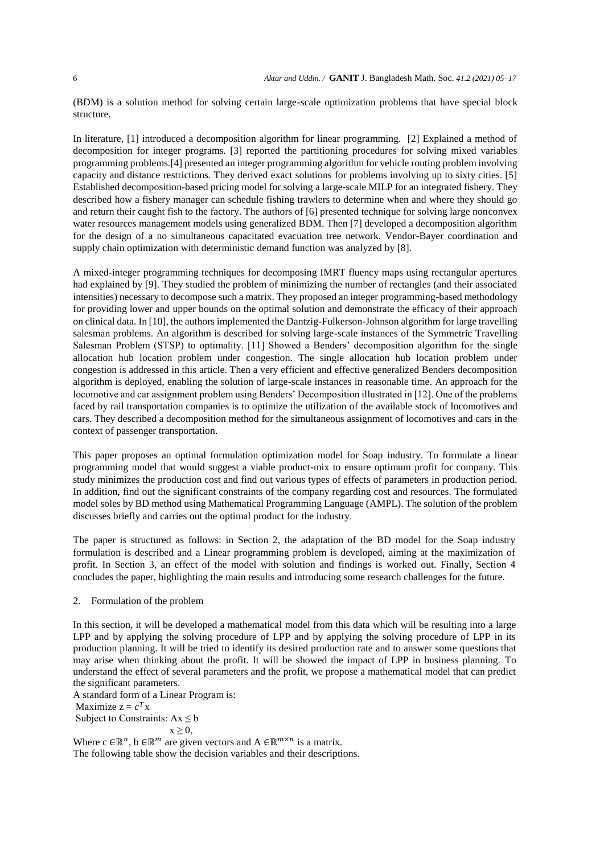(BDM) is a solution method for solving certain large-scale optimization problems that have special block structure.

In literature, [1] introduced a decomposition algorithm for linear programming. [2] Explained a method of decomposition for integer programs. [3] reported the partitioning procedures for solving mixed variables programming problems.[4] presented an integer programming algorithm for vehicle routing problem involving capacity and distance restrictions. They derived exact solutions for problems involving up to sixty cities. [5] Established decomposition-based pricing model for solving a large-scale MILP for an integrated fishery. They described how a fishery manager can schedule fishing trawlers to determine when and where they should go and return their caught fish to the factory. The authors of [6] presented technique for solving large nonconvex water resources management models using generalized BDM. Then [7] developed a decomposition algorithm for the design of a no simultaneous capacitated evacuation tree network. Vendor-Bayer coordination and supply chain optimization with deterministic demand function was analyzed by [8].

A mixed-integer programming techniques for decomposing IMRT fluency maps using rectangular apertures had explained by [9]. They studied the problem of minimizing the number of rectangles (and their associated intensities) necessary to decompose such a matrix. They proposed an integer programming-based methodology for providing lower and upper bounds on the optimal solution and demonstrate the efficacy of their approach on clinical data. In [10], the authors implemented the Dantzig-Fulkerson-Johnson algorithm for large travelling salesman problems. An algorithm is described for solving large-scale instances of the Symmetric Travelling Salesman Problem (STSP) to optimality. [11] Showed a Benders' decomposition algorithm for the single allocation hub location problem under congestion. The single allocation hub location problem under congestion is addressed in this article. Then a very efficient and effective generalized Benders decomposition algorithm is deployed, enabling the solution of large-scale instances in reasonable time. An approach for the locomotive and car assignment problem using Benders' Decomposition illustrated in [12]. One of the problems faced by rail transportation companies is to optimize the utilization of the available stock of locomotives and cars. They described a decomposition method for the simultaneous assignment of locomotives and cars in the context of passenger transportation.

This paper proposes an optimal formulation optimization model for Soap industry. To formulate a linear programming model that would suggest a viable product-mix to ensure optimum profit for company. This study minimizes the production cost and find out various types of effects of parameters in production period. In addition, find out the significant constraints of the company regarding cost and resources. The formulated model soles by BD method using Mathematical Programming Language (AMPL). The solution of the problem discusses briefly and carries out the optimal product for the industry.

The paper is structured as follows: in Section 2, the adaptation of the BD model for the Soap industry formulation is described and a Linear programming problem is developed, aiming at the maximization of profit. In Section 3, an effect of the model with solution and findings is worked out. Finally, Section 4 concludes the paper, highlighting the main results and introducing some research challenges for the future.

2. Formulation of the problem

In this section, it will be developed a mathematical model from this data which will be resulting into a large LPP and by applying the solving procedure of LPP and by applying the solving procedure of LPP in its production planning. It will be tried to identify its desired production rate and to answer some questions that may arise when thinking about the profit. It will be showed the impact of LPP in business planning. To understand the effect of several parameters and the profit, we propose a mathematical model that can predict the significant parameters.

A standard form of a Linear Program is:

Maximize  $z = c^T x$ 

Subject to Constraints:  $Ax \leq b$ 

 $x \geq 0$ ,

Where  $c \in \mathbb{R}^n$ ,  $b \in \mathbb{R}^m$  are given vectors and  $A \in \mathbb{R}^{m \times n}$  is a matrix.

The following table show the decision variables and their descriptions.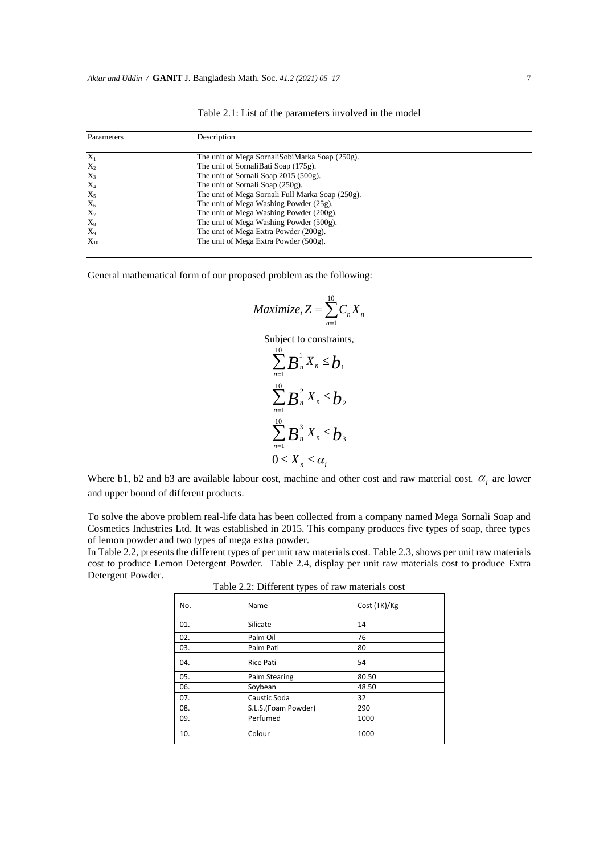Table 2.1: List of the parameters involved in the model

| Parameters | Description                                      |  |
|------------|--------------------------------------------------|--|
| $X_1$      | The unit of Mega SornaliSobiMarka Soap (250g).   |  |
| $X_2$      | The unit of SornaliBati Soap (175g).             |  |
| $X_3$      | The unit of Sornali Soap 2015 (500g).            |  |
| $X_4$      | The unit of Sornali Soap (250g).                 |  |
| $X_5$      | The unit of Mega Sornali Full Marka Soap (250g). |  |
| $X_6$      | The unit of Mega Washing Powder (25g).           |  |
| $X_7$      | The unit of Mega Washing Powder (200g).          |  |
| $X_8$      | The unit of Mega Washing Powder (500g).          |  |
| $X_9$      | The unit of Mega Extra Powder (200g).            |  |
| $X_{10}$   | The unit of Mega Extra Powder (500g).            |  |

General mathematical form of our proposed problem as the following:

$$
Maximize, Z = \sum_{n=1}^{10} C_n X_n
$$

Subject to constraints,

$$
\sum_{n=1}^{10} \boldsymbol{B}_n^1 X_n \leq \boldsymbol{b}_1
$$
  

$$
\sum_{n=1}^{10} \boldsymbol{B}_n^2 X_n \leq \boldsymbol{b}_2
$$
  

$$
\sum_{n=1}^{10} \boldsymbol{B}_n^3 X_n \leq \boldsymbol{b}_3
$$
  

$$
0 \leq X_n \leq \alpha_i
$$

Where  $b1$ ,  $b2$  and  $b3$  are available labour cost, machine and other cost and raw material cost.  $\alpha_i$  are lower and upper bound of different products.

To solve the above problem real-life data has been collected from a company named Mega Sornali Soap and Cosmetics Industries Ltd. It was established in 2015. This company produces five types of soap, three types of lemon powder and two types of mega extra powder.

In Table 2.2, presents the different types of per unit raw materials cost. Table 2.3, shows per unit raw materials cost to produce Lemon Detergent Powder. Table 2.4, display per unit raw materials cost to produce Extra Detergent Powder.

| No. | Name                | Cost (TK)/Kg |
|-----|---------------------|--------------|
| 01. | Silicate            | 14           |
| 02. | Palm Oil            | 76           |
| 03. | Palm Pati           | 80           |
| 04. | <b>Rice Pati</b>    | 54           |
| 05. | Palm Stearing       | 80.50        |
| 06. | Soybean             | 48.50        |
| 07. | Caustic Soda        | 32           |
| 08. | S.L.S.(Foam Powder) | 290          |
| 09. | Perfumed            | 1000         |
| 10. | Colour              | 1000         |

Table 2.2: Different types of raw materials cost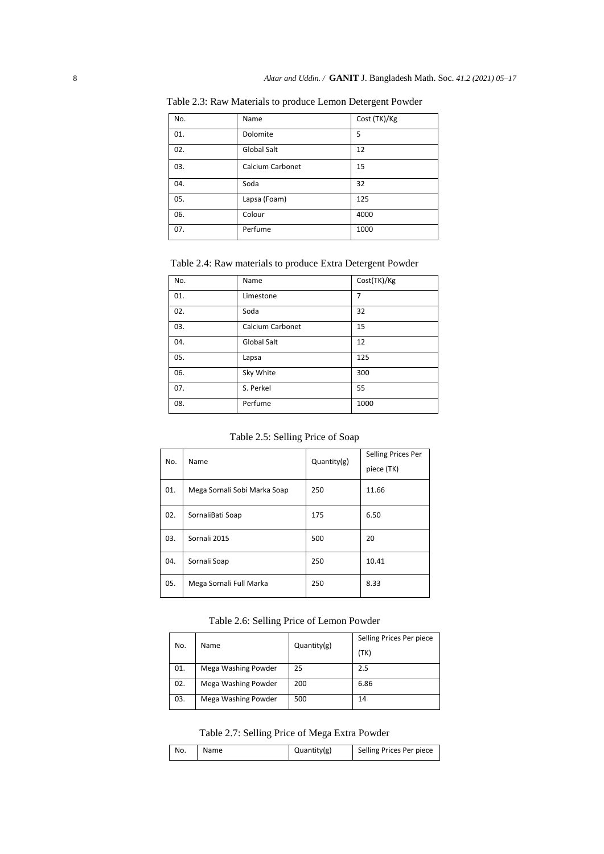| No. | Name             | Cost (TK)/Kg |
|-----|------------------|--------------|
| 01. | Dolomite         | 5            |
| 02. | Global Salt      | 12           |
| 03. | Calcium Carbonet | 15           |
| 04. | Soda             | 32           |
| 05. | Lapsa (Foam)     | 125          |
| 06. | Colour           | 4000         |
| 07. | Perfume          | 1000         |

Table 2.3: Raw Materials to produce Lemon Detergent Powder

Table 2.4: Raw materials to produce Extra Detergent Powder

| No. | Name               | Cost(TK)/Kg |
|-----|--------------------|-------------|
| 01. | Limestone          | 7           |
| 02. | Soda               | 32          |
| 03. | Calcium Carbonet   | 15          |
| 04. | <b>Global Salt</b> | 12          |
| 05. | Lapsa              | 125         |
| 06. | Sky White          | 300         |
| 07. | S. Perkel          | 55          |
| 08. | Perfume            | 1000        |

# Table 2.5: Selling Price of Soap

| No. | Name                         | Quantity(g) | Selling Prices Per<br>piece (TK) |
|-----|------------------------------|-------------|----------------------------------|
| 01. | Mega Sornali Sobi Marka Soap | 250         | 11.66                            |
| 02. | SornaliBati Soap             | 175         | 6.50                             |
| 03. | Sornali 2015                 | 500         | 20                               |
| 04. | Sornali Soap                 | 250         | 10.41                            |
| 05. | Mega Sornali Full Marka      | 250         | 8.33                             |

Table 2.6: Selling Price of Lemon Powder

| No. | Name | Quantity(g)         | Selling Prices Per piece |      |
|-----|------|---------------------|--------------------------|------|
|     |      |                     |                          | (TK) |
|     |      |                     |                          |      |
|     | 01.  | Mega Washing Powder | 25                       | 2.5  |
|     | 02.  | Mega Washing Powder | 200                      | 6.86 |
|     | 03.  | Mega Washing Powder | 500                      | 14   |

# Table 2.7: Selling Price of Mega Extra Powder

| No.<br>Name | Quantity(g) | Selling Prices Per piece |
|-------------|-------------|--------------------------|
|-------------|-------------|--------------------------|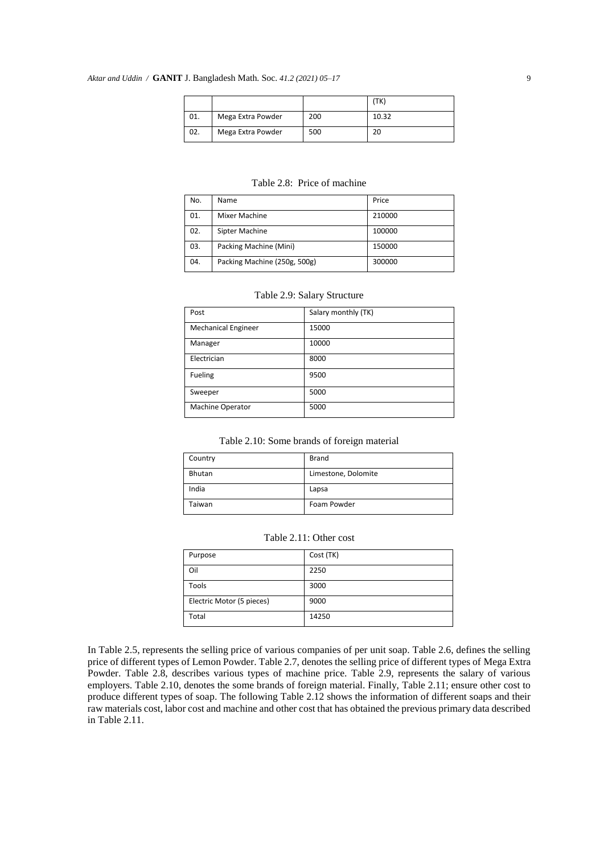|     |                   |     | (TK)  |
|-----|-------------------|-----|-------|
| 01. | Mega Extra Powder | 200 | 10.32 |
| 02. | Mega Extra Powder | 500 | 20    |

| No. | Name                         | Price  |
|-----|------------------------------|--------|
| 01. | Mixer Machine                | 210000 |
| 02. | Sipter Machine               | 100000 |
| 03. | Packing Machine (Mini)       | 150000 |
| 04. | Packing Machine (250g, 500g) | 300000 |

Table 2.8: Price of machine

| Table 2.9: Salary Structure |  |
|-----------------------------|--|
|-----------------------------|--|

| Post                       | Salary monthly (TK) |
|----------------------------|---------------------|
| <b>Mechanical Engineer</b> | 15000               |
| Manager                    | 10000               |
| Electrician                | 8000                |
| Fueling                    | 9500                |
| Sweeper                    | 5000                |
| Machine Operator           | 5000                |

| Country | Brand               |
|---------|---------------------|
| Bhutan  | Limestone, Dolomite |
| India   | Lapsa               |
| Taiwan  | Foam Powder         |

#### Table 2.11: Other cost

| Purpose                   | Cost (TK) |
|---------------------------|-----------|
| Oil                       | 2250      |
| Tools                     | 3000      |
| Electric Motor (5 pieces) | 9000      |
| Total                     | 14250     |

In Table 2.5, represents the selling price of various companies of per unit soap. Table 2.6, defines the selling price of different types of Lemon Powder. Table 2.7, denotes the selling price of different types of Mega Extra Powder. Table 2.8, describes various types of machine price. Table 2.9, represents the salary of various employers. Table 2.10, denotes the some brands of foreign material. Finally, Table 2.11; ensure other cost to produce different types of soap. The following Table 2.12 shows the information of different soaps and their raw materials cost, labor cost and machine and other cost that has obtained the previous primary data described in Table 2.11.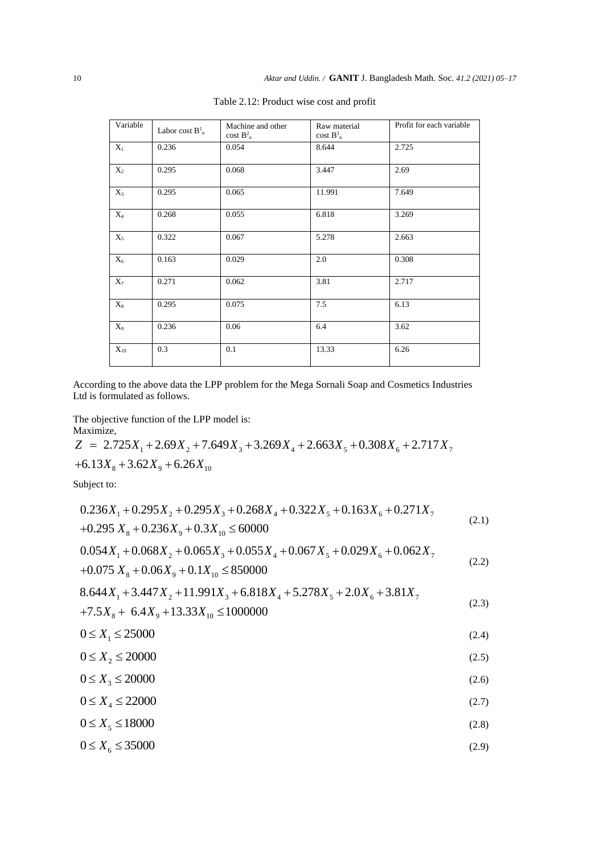| Variable       | Labor cost $B^1_n$ | Machine and other<br>cost $B_n^2$ | Raw material<br>$\cos t B_n^3$ | Profit for each variable |
|----------------|--------------------|-----------------------------------|--------------------------------|--------------------------|
| $X_1$          | 0.236              | 0.054                             | 8.644                          | 2.725                    |
| $\mathbf{X}_2$ | 0.295              | 0.068                             | 3.447                          | 2.69                     |
| $X_3$          | 0.295              | 0.065                             | 11.991                         | 7.649                    |
| $X_4$          | 0.268              | 0.055                             | 6.818                          | 3.269                    |
| $X_5$          | 0.322              | 0.067                             | 5.278                          | 2.663                    |
| $X_6$          | 0.163              | 0.029                             | 2.0                            | 0.308                    |
| $X_7$          | 0.271              | 0.062                             | 3.81                           | 2.717                    |
| $X_8$          | 0.295              | 0.075                             | 7.5                            | 6.13                     |
| $X_9$          | 0.236              | 0.06                              | 6.4                            | 3.62                     |
| $X_{10}$       | 0.3                | 0.1                               | 13.33                          | 6.26                     |

Table 2.12: Product wise cost and profit

According to the above data the LPP problem for the Mega Sornali Soap and Cosmetics Industries Ltd is formulated as follows.

The objective function of the LPP model is:

Maximize,

 $Z = 2.725X_1 + 2.69X_2 + 7.649X_3 + 3.269X_4 + 2.663X_5 + 0.308X_6 + 2.717X_7$  $+6.13X_{\rm g} + 3.62X_{\rm g} + 6.26X_{\rm 10}$ 

Subject to:

$$
0.236X_1 + 0.295X_2 + 0.295X_3 + 0.268X_4 + 0.322X_5 + 0.163X_6 + 0.271X_7
$$
  
+0.295 X<sub>8</sub> + 0.236X<sub>9</sub> + 0.3X<sub>10</sub> ≤ 60000 (2.1)

$$
0.054X_1 + 0.068X_2 + 0.065X_3 + 0.055X_4 + 0.067X_5 + 0.029X_6 + 0.062X_7
$$
  
+0.075 X<sub>8</sub> + 0.06X<sub>9</sub> + 0.1X<sub>10</sub> ≤ 850000 (2.2)

$$
8.644X_1 + 3.447X_2 + 11.991X_3 + 6.818X_4 + 5.278X_5 + 2.0X_6 + 3.81X_7
$$
  
+7.5X<sub>8</sub> + 6.4X<sub>9</sub> + 13.33X<sub>10</sub> ≤ 10000000 (2.3)

$$
0 \le X_1 \le 25000\tag{2.4}
$$

$$
0 \le X_2 \le 20000\tag{2.5}
$$

$$
0 \le X_3 \le 20000\tag{2.6}
$$

$$
0 \le X_4 \le 22000\tag{2.7}
$$

$$
0 \le X5 \le 18000 \tag{2.8}
$$

$$
0 \le X_6 \le 35000\tag{2.9}
$$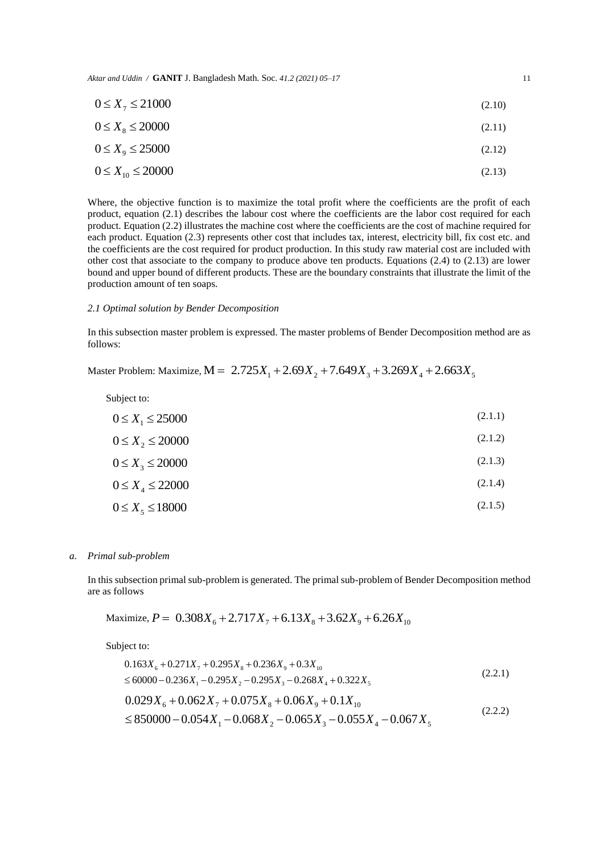*Aktar and Uddin /* **GANIT** J. Bangladesh Math. Soc. *41.2 (2021) 05–17* 11

$$
0 \le X_{\gamma} \le 21000 \tag{2.10}
$$

$$
0 \le X_s \le 20000\tag{2.11}
$$

$$
0 \le X_{9} \le 25000 \tag{2.12}
$$

$$
0 \le X_{10} \le 20000 \tag{2.13}
$$

Where, the objective function is to maximize the total profit where the coefficients are the profit of each product, equation (2.1) describes the labour cost where the coefficients are the labor cost required for each product. Equation (2.2) illustrates the machine cost where the coefficients are the cost of machine required for each product. Equation (2.3) represents other cost that includes tax, interest, electricity bill, fix cost etc. and the coefficients are the cost required for product production. In this study raw material cost are included with other cost that associate to the company to produce above ten products. Equations (2.4) to (2.13) are lower bound and upper bound of different products. These are the boundary constraints that illustrate the limit of the production amount of ten soaps.

#### *2.1 Optimal solution by Bender Decomposition*

In this subsection master problem is expressed. The master problems of Bender Decomposition method are as follows:

Master Problem: Maximize,  $M = 2.725X_1 + 2.69X_2 + 7.649X_3 + 3.269X_4 + 2.663X_5$ 

Subject to:

| $0 \le X_1 \le 25000$     | (2.1.1) |
|---------------------------|---------|
| $0 \le X_2 \le 20000$     | (2.1.2) |
| $0 \leq X_3 \leq 20000$   | (2.1.3) |
| $0 \le X_{A} \le 22000$   | (2.1.4) |
| $0 \leq X_{5} \leq 18000$ | (2.1.5) |

#### *a. Primal sub-problem*

In this subsection primal sub-problem is generated. The primal sub-problem of Bender Decomposition method are as follows

Maximize, 
$$
P = 0.308X_6 + 2.717X_7 + 6.13X_8 + 3.62X_9 + 6.26X_{10}
$$

Subject to:

$$
0.163X_6 + 0.271X_7 + 0.295X_8 + 0.236X_9 + 0.3X_{10}
$$
  
\n
$$
\leq 60000 - 0.236X_1 - 0.295X_2 - 0.295X_3 - 0.268X_4 + 0.322X_5
$$
  
\n
$$
0.029X_6 + 0.062X_7 + 0.075X_8 + 0.06X_9 + 0.1X_{10}
$$
  
\n
$$
\leq 850000 - 0.054X_1 - 0.068X_2 - 0.065X_3 - 0.055X_4 - 0.067X_5
$$
\n(2.2.2)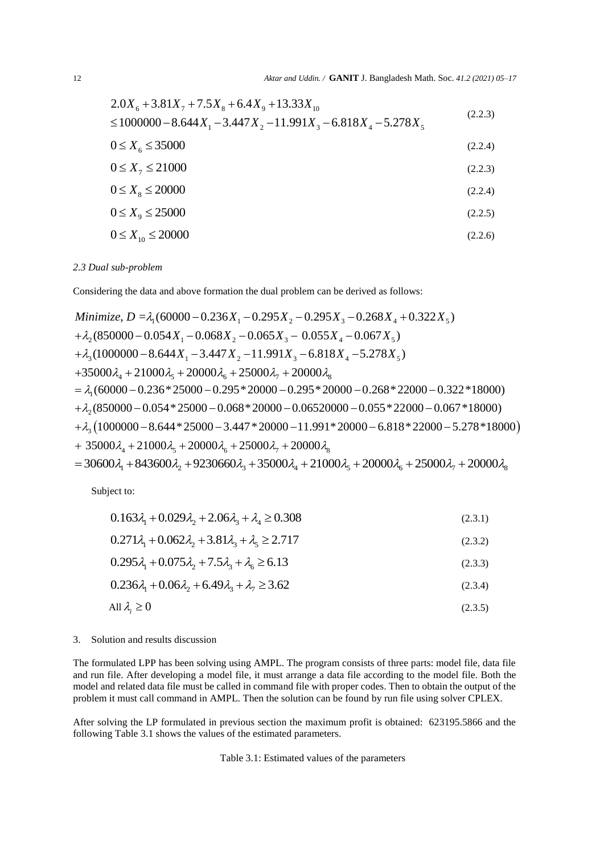$$
2.0X_6 + 3.81X_7 + 7.5X_8 + 6.4X_9 + 13.33X_{10}
$$
  
\n
$$
\le 1000000 - 8.644X_1 - 3.447X_2 - 11.991X_3 - 6.818X_4 - 5.278X_5
$$
\n(2.2.3)

$$
0 \le X_6 \le 35000 \tag{2.2.4}
$$

$$
0 \le X_7 \le 21000 \tag{2.2.3}
$$

$$
0 \le X_s \le 20000 \tag{2.2.4}
$$

$$
0 \le X_{9} \le 25000 \tag{2.2.5}
$$

$$
0 \le X_{10} \le 20000 \tag{2.2.6}
$$

#### *2.3 Dual sub-problem*

and a state

Considering the data and above formation the dual problem can be derived as follows:

Minimize, 
$$
D = \lambda_1 (60000 - 0.236X_1 - 0.295X_2 - 0.295X_3 - 0.268X_4 + 0.322X_5)
$$
  
\n $+ \lambda_2 (850000 - 0.054X_1 - 0.068X_2 - 0.065X_3 - 0.055X_4 - 0.067X_5)$   
\n $+ \lambda_3 (1000000 - 8.644X_1 - 3.447X_2 - 11.991X_3 - 6.818X_4 - 5.278X_5)$   
\n $+ 35000\lambda_4 + 21000\lambda_5 + 20000\lambda_6 + 25000\lambda_7 + 20000\lambda_8$   
\n $= \lambda_1 (60000 - 0.236 * 25000 - 0.295 * 20000 - 0.295 * 20000 - 0.268 * 22000 - 0.322 * 18000)$   
\n $+ \lambda_2 (850000 - 0.054 * 25000 - 0.068 * 20000 - 0.06520000 - 0.055 * 22000 - 0.067 * 18000)$   
\n $+ \lambda_3 (1000000 - 8.644 * 25000 - 3.447 * 20000 - 11.991 * 20000 - 6.818 * 22000 - 5.278 * 18000)$   
\n $+ 35000\lambda_4 + 21000\lambda_5 + 20000\lambda_6 + 25000\lambda_7 + 20000\lambda_8$   
\n $= 30600\lambda_1 + 843600\lambda_2 + 9230660\lambda_3 + 35000\lambda_4 + 21000\lambda_5 + 20000\lambda_6 + 25000\lambda_7 + 20000\lambda_8$ 

Subject to:

$$
0.163\lambda_1 + 0.029\lambda_2 + 2.06\lambda_3 + \lambda_4 \ge 0.308
$$
\n(2.3.1)

$$
0.163\lambda_1 + 0.029\lambda_2 + 2.06\lambda_3 + \lambda_4 \ge 0.308
$$
\n
$$
0.271\lambda_1 + 0.062\lambda_2 + 3.81\lambda_3 + \lambda_5 \ge 2.717
$$
\n(2.3.2)

$$
0.295\lambda_1 + 0.075\lambda_2 + 7.5\lambda_3 + \lambda_6 \ge 6.13\tag{2.3.3}
$$

 $0.236\lambda_1 + 0.06\lambda_2 + 6.49\lambda_3 + \lambda_7 \geq 3.62$ (2.3.4)

$$
\text{All } \lambda_i \ge 0 \tag{2.3.5}
$$

#### 3. Solution and results discussion

The formulated LPP has been solving using AMPL. The program consists of three parts: model file, data file and run file. After developing a model file, it must arrange a data file according to the model file. Both the model and related data file must be called in command file with proper codes. Then to obtain the output of the problem it must call command in AMPL. Then the solution can be found by run file using solver CPLEX.

After solving the LP formulated in previous section the maximum profit is obtained: 623195.5866 and the following Table 3.1 shows the values of the estimated parameters.

Table 3.1: Estimated values of the parameters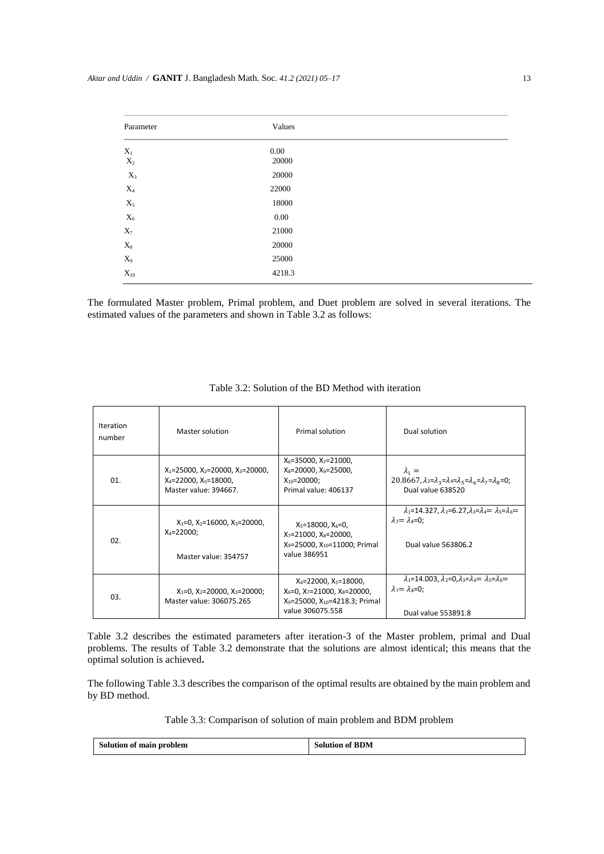| Parameter         | Values   |  |
|-------------------|----------|--|
| $X_1$             | $0.00\,$ |  |
| $\mathbf{X}_2$    | 20000    |  |
| $X_3$             | 20000    |  |
| $X_4$             | 22000    |  |
| $X_5$             | 18000    |  |
| $X_6$             | $0.00\,$ |  |
| $\mathbf{X}_7$    | 21000    |  |
| $\mathbf{X}_8$    | 20000    |  |
| $X_9$             | 25000    |  |
| $\mathbf{X}_{10}$ | 4218.3   |  |
|                   |          |  |

The formulated Master problem, Primal problem, and Duet problem are solved in several iterations. The estimated values of the parameters and shown in Table 3.2 as follows:

| Iteration<br>number | Master solution                                                                                             | Primal solution                                                                                                                          | Dual solution                                                                                                                                         |
|---------------------|-------------------------------------------------------------------------------------------------------------|------------------------------------------------------------------------------------------------------------------------------------------|-------------------------------------------------------------------------------------------------------------------------------------------------------|
| 01.                 | $X_1 = 25000$ , $X_2 = 20000$ , $X_3 = 20000$ ,<br>$X_4 = 22000$ , $X_5 = 18000$ ,<br>Master value: 394667. | $X_6 = 35000$ , $X_7 = 21000$ ,<br>$X_8 = 20000$ , $X_9 = 25000$ ,<br>$X_{10} = 20000$ ;<br>Primal value: 406137                         | $\lambda_1 =$<br>20.8667, $\lambda_2 = \lambda_3 = \lambda_4 = \lambda_5 = \lambda_6 = \lambda_7 = \lambda_8 = 0$ ;<br>Dual value 638520              |
| 02.                 | $X_1=0$ , $X_2=16000$ , $X_3=20000$ ,<br>$X_4 = 22000$ ;<br>Master value: 354757                            | $X_5 = 18000, X_6 = 0,$<br>$X_7 = 21000$ , $X_8 = 20000$ ,<br>$X_9 = 25000$ , $X_{10} = 11000$ ; Primal<br>value 386951                  | $\lambda_1 = 14.327$ . $\lambda_2 = 6.27$ . $\lambda_3 = \lambda_4 = \lambda_5 = \lambda_6 =$<br>$\lambda_7 = \lambda_8 = 0$ ;<br>Dual value 563806.2 |
| 03.                 | $X_1=0$ , $X_2=20000$ , $X_3=20000$ ;<br>Master value: 306075.265                                           | $X_4 = 22000, X_5 = 18000,$<br>$X_6 = 0$ , $X_7 = 21000$ , $X_8 = 20000$ ,<br>$X_9$ =25000, $X_{10}$ =4218.3; Primal<br>value 306075.558 | $\lambda_1 = 14.003$ , $\lambda_2 = 0$ , $\lambda_3 = \lambda_4 = \lambda_5 = \lambda_6 =$<br>$\lambda_7 = \lambda_8 = 0$ ;<br>Dual value 553891.8    |

Table 3.2 describes the estimated parameters after iteration-3 of the Master problem, primal and Dual problems. The results of Table 3.2 demonstrate that the solutions are almost identical; this means that the optimal solution is achieved**.**

The following Table 3.3 describes the comparison of the optimal results are obtained by the main problem and by BD method.

Table 3.3: Comparison of solution of main problem and BDM problem

| Solution of main problem | <b>Solution of BDM</b> |
|--------------------------|------------------------|
|                          |                        |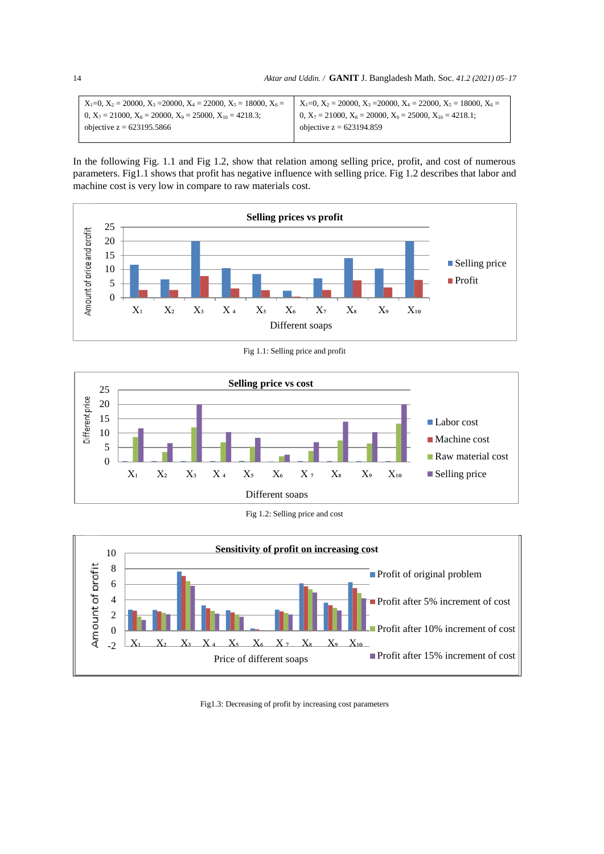| $X_1=0$ , $X_2=20000$ , $X_3=20000$ , $X_4=22000$ , $X_5=18000$ , $X_6=$ |
|--------------------------------------------------------------------------|
| 0, $X_7 = 21000$ , $X_8 = 20000$ , $X_9 = 25000$ , $X_{10} = 4218.1$ ;   |
| objective $z = 623194.859$                                               |
|                                                                          |

In the following Fig. 1.1 and Fig 1.2, show that relation among selling price, profit, and cost of numerous parameters. Fig1.1 shows that profit has negative influence with selling price. Fig 1.2 describes that labor and machine cost is very low in compare to raw materials cost.



Fig 1.1: Selling price and profit







Fig1.3: Decreasing of profit by increasing cost parameters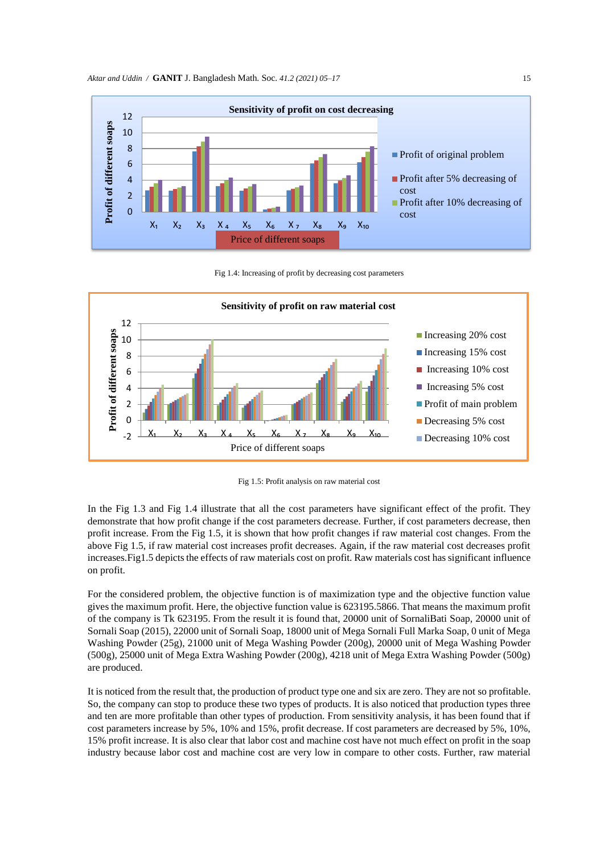

Fig 1.4: Increasing of profit by decreasing cost parameters



Fig 1.5: Profit analysis on raw material cost

In the Fig 1.3 and Fig 1.4 illustrate that all the cost parameters have significant effect of the profit. They demonstrate that how profit change if the cost parameters decrease. Further, if cost parameters decrease, then profit increase. From the Fig 1.5, it is shown that how profit changes if raw material cost changes. From the above Fig 1.5, if raw material cost increases profit decreases. Again, if the raw material cost decreases profit increases.Fig1.5 depicts the effects of raw materials cost on profit. Raw materials cost has significant influence on profit.

For the considered problem, the objective function is of maximization type and the objective function value gives the maximum profit. Here, the objective function value is 623195.5866. That means the maximum profit of the company is Tk 623195. From the result it is found that, 20000 unit of SornaliBati Soap, 20000 unit of Sornali Soap (2015), 22000 unit of Sornali Soap, 18000 unit of Mega Sornali Full Marka Soap, 0 unit of Mega Washing Powder (25g), 21000 unit of Mega Washing Powder (200g), 20000 unit of Mega Washing Powder (500g), 25000 unit of Mega Extra Washing Powder (200g), 4218 unit of Mega Extra Washing Powder (500g) are produced.

It is noticed from the result that, the production of product type one and six are zero. They are not so profitable. So, the company can stop to produce these two types of products. It is also noticed that production types three and ten are more profitable than other types of production. From sensitivity analysis, it has been found that if cost parameters increase by 5%, 10% and 15%, profit decrease. If cost parameters are decreased by 5%, 10%, 15% profit increase. It is also clear that labor cost and machine cost have not much effect on profit in the soap industry because labor cost and machine cost are very low in compare to other costs. Further, raw material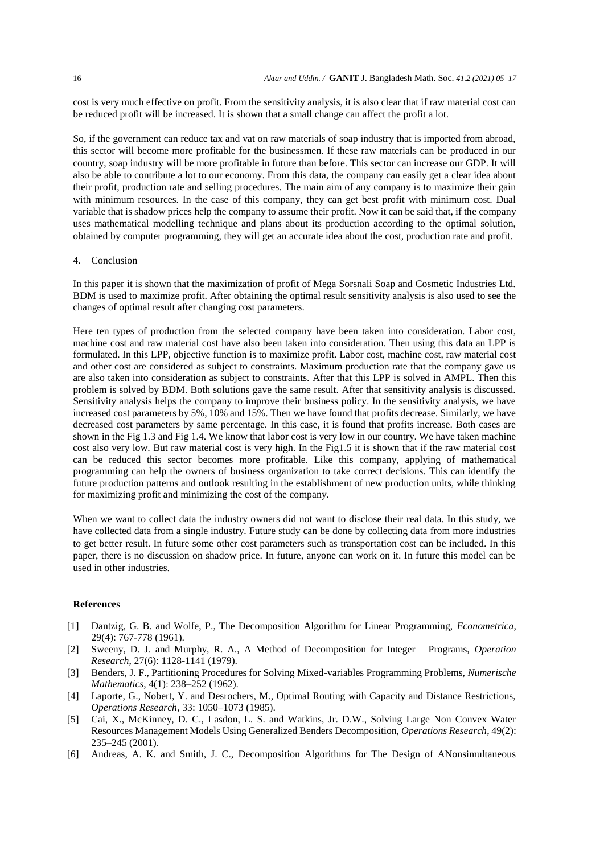cost is very much effective on profit. From the sensitivity analysis, it is also clear that if raw material cost can be reduced profit will be increased. It is shown that a small change can affect the profit a lot.

So, if the government can reduce tax and vat on raw materials of soap industry that is imported from abroad, this sector will become more profitable for the businessmen. If these raw materials can be produced in our country, soap industry will be more profitable in future than before. This sector can increase our GDP. It will also be able to contribute a lot to our economy. From this data, the company can easily get a clear idea about their profit, production rate and selling procedures. The main aim of any company is to maximize their gain with minimum resources. In the case of this company, they can get best profit with minimum cost. Dual variable that is shadow prices help the company to assume their profit. Now it can be said that, if the company uses mathematical modelling technique and plans about its production according to the optimal solution, obtained by computer programming, they will get an accurate idea about the cost, production rate and profit.

#### 4. Conclusion

In this paper it is shown that the maximization of profit of Mega Sorsnali Soap and Cosmetic Industries Ltd. BDM is used to maximize profit. After obtaining the optimal result sensitivity analysis is also used to see the changes of optimal result after changing cost parameters.

Here ten types of production from the selected company have been taken into consideration. Labor cost, machine cost and raw material cost have also been taken into consideration. Then using this data an LPP is formulated. In this LPP, objective function is to maximize profit. Labor cost, machine cost, raw material cost and other cost are considered as subject to constraints. Maximum production rate that the company gave us are also taken into consideration as subject to constraints. After that this LPP is solved in AMPL. Then this problem is solved by BDM. Both solutions gave the same result. After that sensitivity analysis is discussed. Sensitivity analysis helps the company to improve their business policy. In the sensitivity analysis, we have increased cost parameters by 5%, 10% and 15%. Then we have found that profits decrease. Similarly, we have decreased cost parameters by same percentage. In this case, it is found that profits increase. Both cases are shown in the Fig 1.3 and Fig 1.4. We know that labor cost is very low in our country. We have taken machine cost also very low. But raw material cost is very high. In the Fig1.5 it is shown that if the raw material cost can be reduced this sector becomes more profitable. Like this company, applying of mathematical programming can help the owners of business organization to take correct decisions. This can identify the future production patterns and outlook resulting in the establishment of new production units, while thinking for maximizing profit and minimizing the cost of the company.

When we want to collect data the industry owners did not want to disclose their real data. In this study, we have collected data from a single industry. Future study can be done by collecting data from more industries to get better result. In future some other cost parameters such as transportation cost can be included. In this paper, there is no discussion on shadow price. In future, anyone can work on it. In future this model can be used in other industries.

#### **References**

- [1] Dantzig, G. B. and Wolfe, P., The Decomposition Algorithm for Linear Programming, *Econometrica*, 29(4): 767-778 (1961).
- [2] Sweeny, D. J. and Murphy, R. A., A Method of Decomposition for Integer Programs, *Operation Research*, 27(6): 1128-1141 (1979).
- [3] Benders, J. F., Partitioning Procedures for Solving Mixed-variables Programming Problems, *Numerische Mathematics*, 4(1): 238–252 (1962).
- [4] Laporte, G., Nobert, Y. and Desrochers, M., Optimal Routing with Capacity and Distance Restrictions, *Operations Research*, 33: 1050–1073 (1985).
- [5] Cai, X., McKinney, D. C., Lasdon, L. S. and Watkins, Jr. D.W., Solving Large Non Convex Water Resources Management Models Using Generalized Benders Decomposition, *Operations Research*, 49(2): 235–245 (2001).
- [6] Andreas, A. K. and Smith, J. C., Decomposition Algorithms for The Design of ANonsimultaneous